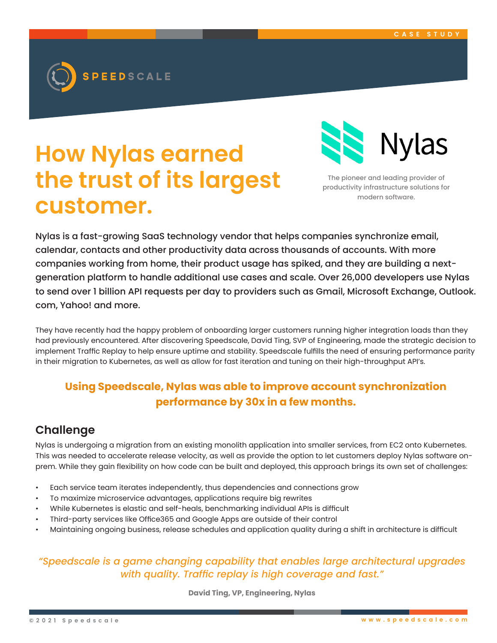

# **How Nylas earned the trust of its largest customer.**



The pioneer and leading provider of productivity infrastructure solutions for modern software.

Nylas is a fast-growing SaaS technology vendor that helps companies synchronize email, calendar, contacts and other productivity data across thousands of accounts. With more companies working from home, their product usage has spiked, and they are building a nextgeneration platform to handle additional use cases and scale. Over 26,000 developers use Nylas to send over 1 billion API requests per day to providers such as Gmail, Microsoft Exchange, Outlook. com, Yahoo! and more.

They have recently had the happy problem of onboarding larger customers running higher integration loads than they had previously encountered. After discovering Speedscale, David Ting, SVP of Engineering, made the strategic decision to implement Traffic Replay to help ensure uptime and stability. Speedscale fulfills the need of ensuring performance parity in their migration to Kubernetes, as well as allow for fast iteration and tuning on their high-throughput API's.

## **Using Speedscale, Nylas was able to improve account synchronization performance by 30x in a few months.**

## **Challenge**

Nylas is undergoing a migration from an existing monolith application into smaller services, from EC2 onto Kubernetes. This was needed to accelerate release velocity, as well as provide the option to let customers deploy Nylas software onprem. While they gain flexibility on how code can be built and deployed, this approach brings its own set of challenges:

- Each service team iterates independently, thus dependencies and connections grow
- To maximize microservice advantages, applications require big rewrites
- While Kubernetes is elastic and self-heals, benchmarking individual APIs is difficult
- Third-party services like Office365 and Google Apps are outside of their control
- Maintaining ongoing business, release schedules and application quality during a shift in architecture is difficult

### *"Speedscale is a game changing capability that enables large architectural upgrades with quality. Traffic replay is high coverage and fast."*

**David Ting, VP, Engineering, Nylas**